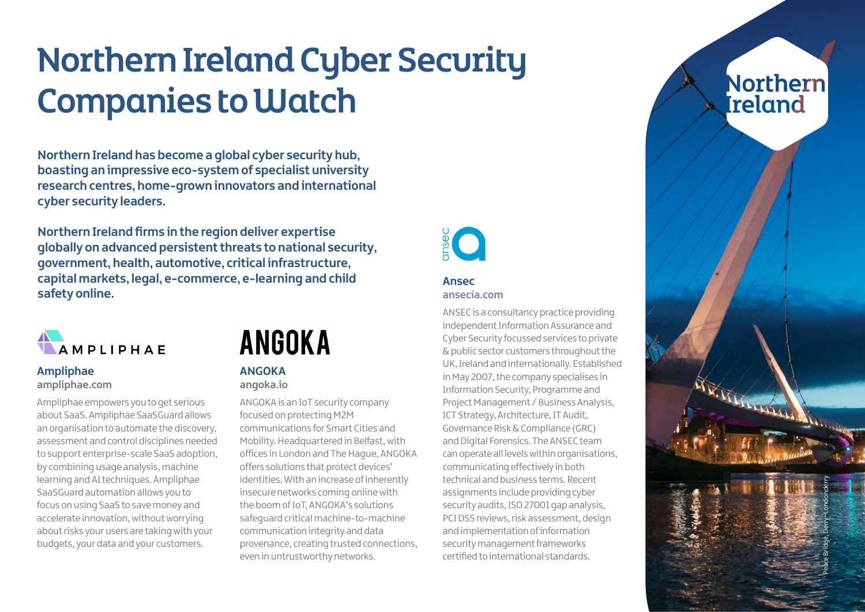# Northern Ireland Cyber Security Companies to Watch

**Northern Ireland has become a global cyber security hub, boasting an impressive eco-system of specialist university research centres, home-grown innovators and international cyber security leaders.**

**Northern Ireland firms in the region deliver expertise globally on advanced persistent threats to national security, government, health, automotive, critical infrastructure, capital markets, legal, e-commerce, e-learning and child safety online.**



#### **Ampliphae [ampliphae.com](http://ampliphae.com)**

Ampliphae empowers you to get serious about SaaS. Ampliphae SaaSGuard allows an organisation to automate the discovery, assessment and control disciplines needed to support enterprise-scale SaaS adoption, by combining usage analysis, machine learning and AI techniques. Ampliphae SaaSGuard automation allows you to focus on using SaaS to save money and accelerate innovation, without worrying about risks your users are taking with your budgets, your data and your customers.

## **ANGOKA**

#### **ANGOKA [angoka.io](http://angoka.io)**

ANGOKA is an IoT security company focused on protecting M2M communications for Smart Cities and Mobility. Headquartered in Belfast, with offices in London and The Hague, ANGOKA offers solutions that protect devices' identities. With an increase of inherently insecure networks coming online with the boom of IoT, ANGOKA's solutions safeguard critical machine-to-machine communication integrity and data provenance, creating trusted connections, even in untrustworthy networks.



#### **Ansec [ansecia.com](http://www.ansecia.com)**

ANSEC is a consultancy practice providing independent Information Assurance and Cyber Security focussed services to private & public sector customers throughout the UK, Ireland and internationally. Established in May 2007, the company specialises in Information Security, Programme and Project Management / Business Analysis, ICT Strategy, Architecture, IT Audit, Governance Risk & Compliance (GRC) and Digital Forensics. The ANSEC team can operate all levels within organisations, communicating effectively in both technical and business terms. Recent assignments include providing cyber security audits, ISO 27001 gap analysis, PCI DSS reviews, risk assessment, design and implementation of information security management frameworks certified to international standards.



V. VI VI VI VI VI

Peace Bridge, Derry~Londonderry